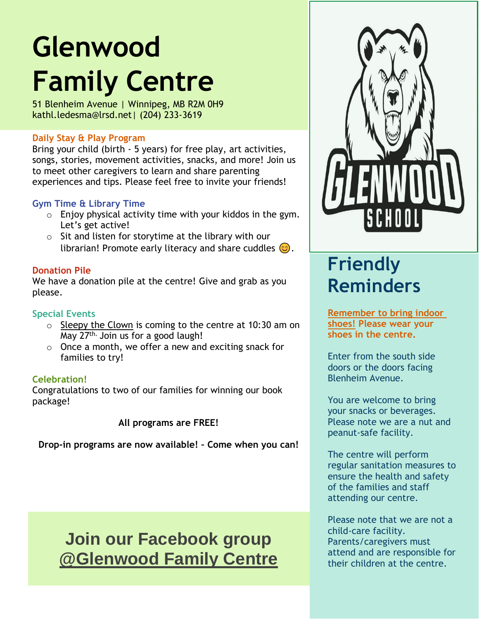# **Glenwood Family Centre**

51 Blenheim Avenue | Winnipeg, MB R2M 0H9 kathl.ledesma@lrsd.net| (204) 233-3619

#### **Daily Stay & Play Program**

Bring your child (birth - 5 years) for free play, art activities, songs, stories, movement activities, snacks, and more! Join us to meet other caregivers to learn and share parenting experiences and tips. Please feel free to invite your friends!

#### **Gym Time & Library Time**

- $\circ$  Enjoy physical activity time with your kiddos in the gym. Let's get active!
- $\circ$  Sit and listen for storytime at the library with our librarian! Promote early literacy and share cuddles  $\odot$ .

#### **Donation Pile**

We have a donation pile at the centre! Give and grab as you please.

#### **Special Events**

- $\circ$  Sleepy the Clown is coming to the centre at 10:30 am on May 27th. Join us for a good laugh!
- o Once a month, we offer a new and exciting snack for families to try!

#### **Celebration!**

Congratulations to two of our families for winning our book package!

**All programs are FREE!**

**Drop-in programs are now available! – Come when you can!**

### **Join our Facebook group @Glenwood Family Centre**



## **Friendly Reminders**

**Remember to bring indoor shoes! Please wear your shoes in the centre.**

Enter from the south side doors or the doors facing Blenheim Avenue.

You are welcome to bring your snacks or beverages. Please note we are a nut and peanut-safe facility.

The centre will perform regular sanitation measures to ensure the health and safety of the families and staff attending our centre.

Please note that we are not a child-care facility. Parents/caregivers must attend and are responsible for their children at the centre.